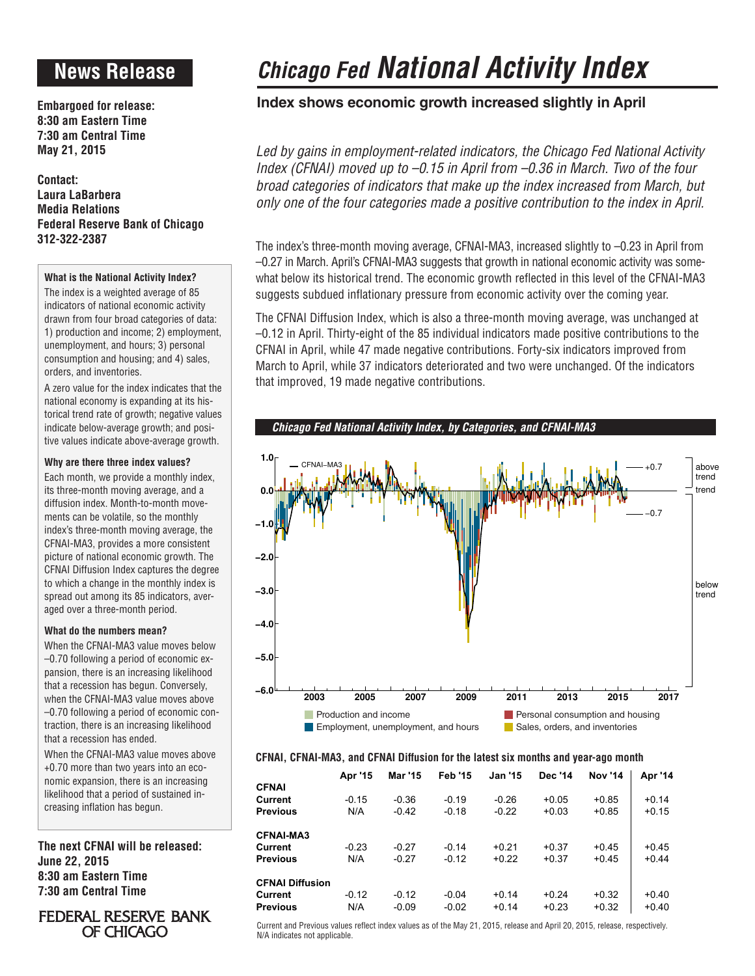# **News Release**

**Embargoed for release: 8:30 am Eastern Time 7:30 am Central Time May 21, 2015**

**Contact: Laura LaBarbera Media Relations Federal Reserve Bank of Chicago 312-322-2387**

### **What is the National Activity Index?**

The index is a weighted average of 85 indicators of national economic activity drawn from four broad categories of data: 1) production and income; 2) employment, unemployment, and hours; 3) personal consumption and housing; and 4) sales, orders, and inventories.

A zero value for the index indicates that the national economy is expanding at its historical trend rate of growth; negative values indicate below-average growth; and positive values indicate above-average growth.

### **Why are there three index values?**

Each month, we provide a monthly index, its three-month moving average, and a diffusion index. Month-to-month movements can be volatile, so the monthly index's three-month moving average, the CFNAI-MA3, provides a more consistent picture of national economic growth. The CFNAI Diffusion Index captures the degree to which a change in the monthly index is spread out among its 85 indicators, averaged over a three-month period.

### **What do the numbers mean?**

When the CFNAI-MA3 value moves below –0.70 following a period of economic expansion, there is an increasing likelihood that a recession has begun. Conversely, when the CFNAI-MA3 value moves above –0.70 following a period of economic contraction, there is an increasing likelihood that a recession has ended.

When the CFNAI-MA3 value moves above +0.70 more than two years into an economic expansion, there is an increasing likelihood that a period of sustained increasing inflation has begun.

**The next CFNAI will be released: June 22, 2015 8:30 am Eastern Time 7:30 am Central Time**

### **FEDERAL RESERVE BANK** OF CHICAGO

# *Chicago Fed National Activity Index*

## **Index shows economic growth increased slightly in April**

*Led by gains in employment-related indicators, the Chicago Fed National Activity Index (CFNAI) moved up to –0.15 in April from –0.36 in March. Two of the four broad categories of indicators that make up the index increased from March, but only one of the four categories made a positive contribution to the index in April.*

The index's three-month moving average, CFNAI-MA3, increased slightly to –0.23 in April from –0.27 in March. April's CFNAI-MA3 suggests that growth in national economic activity was somewhat below its historical trend. The economic growth reflected in this level of the CFNAI-MA3 suggests subdued inflationary pressure from economic activity over the coming year.

The CFNAI Diffusion Index, which is also a three-month moving average, was unchanged at –0.12 in April. Thirty-eight of the 85 individual indicators made positive contributions to the CFNAI in April, while 47 made negative contributions. Forty-six indicators improved from March to April, while 37 indicators deteriorated and two were unchanged. Of the indicators that improved, 19 made negative contributions.



### **CFNAI, CFNAI-MA3, and CFNAI Diffusion for the latest six months and year-ago month**

|                        | Apr '15 | Mar '15 | <b>Feb '15</b> | <b>Jan '15</b> | Dec '14 | <b>Nov '14</b> | Apr '14 |
|------------------------|---------|---------|----------------|----------------|---------|----------------|---------|
| <b>CFNAI</b>           |         |         |                |                |         |                |         |
| Current                | $-0.15$ | $-0.36$ | $-0.19$        | $-0.26$        | $+0.05$ | $+0.85$        | $+0.14$ |
| <b>Previous</b>        | N/A     | $-0.42$ | $-0.18$        | $-0.22$        | $+0.03$ | $+0.85$        | $+0.15$ |
| <b>CFNAI-MA3</b>       |         |         |                |                |         |                |         |
| Current                | $-0.23$ | $-0.27$ | $-0.14$        | $+0.21$        | $+0.37$ | $+0.45$        | $+0.45$ |
| <b>Previous</b>        | N/A     | $-0.27$ | $-0.12$        | $+0.22$        | $+0.37$ | $+0.45$        | $+0.44$ |
| <b>CFNAI Diffusion</b> |         |         |                |                |         |                |         |
| Current                | $-0.12$ | $-0.12$ | $-0.04$        | $+0.14$        | $+0.24$ | $+0.32$        | $+0.40$ |
| <b>Previous</b>        | N/A     | $-0.09$ | $-0.02$        | $+0.14$        | $+0.23$ | $+0.32$        | $+0.40$ |

Current and Previous values reflect index values as of the May 21, 2015, release and April 20, 2015, release, respectively. N/A indicates not applicable.